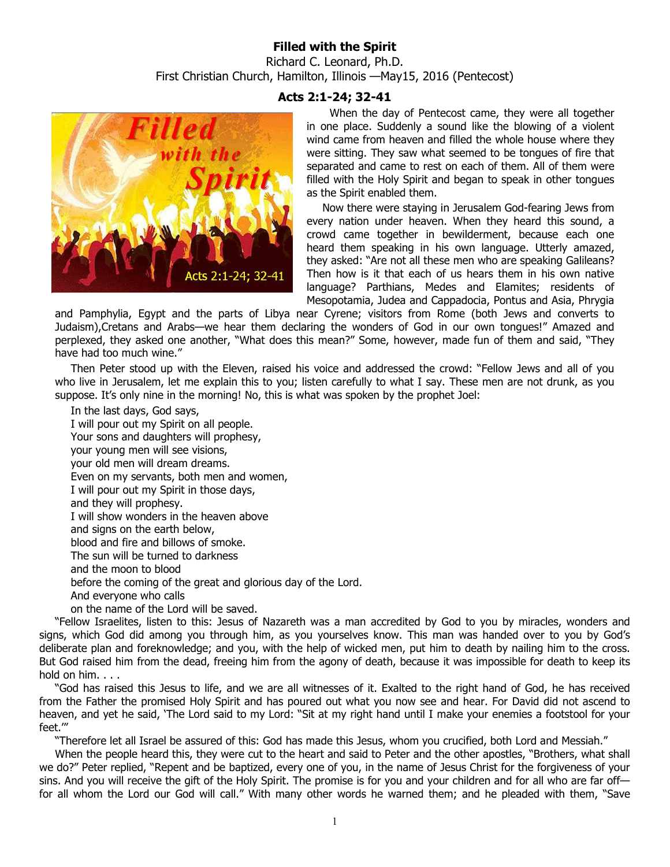## **Filled with the Spirit**

Richard C. Leonard, Ph.D. First Christian Church, Hamilton, Illinois —May15, 2016 (Pentecost)

## **Acts 2:1-24; 32-41**



 When the day of Pentecost came, they were all together in one place. Suddenly a sound like the blowing of a violent wind came from heaven and filled the whole house where they were sitting. They saw what seemed to be tongues of fire that separated and came to rest on each of them. All of them were filled with the Holy Spirit and began to speak in other tongues as the Spirit enabled them.

Now there were staying in Jerusalem God-fearing Jews from every nation under heaven. When they heard this sound, a crowd came together in bewilderment, because each one heard them speaking in his own language. Utterly amazed, they asked: "Are not all these men who are speaking Galileans? Then how is it that each of us hears them in his own native language? Parthians, Medes and Elamites; residents of Mesopotamia, Judea and Cappadocia, Pontus and Asia, Phrygia

and Pamphylia, Egypt and the parts of Libya near Cyrene; visitors from Rome (both Jews and converts to Judaism),Cretans and Arabs—we hear them declaring the wonders of God in our own tongues!" Amazed and perplexed, they asked one another, "What does this mean?" Some, however, made fun of them and said, "They have had too much wine."

Then Peter stood up with the Eleven, raised his voice and addressed the crowd: "Fellow Jews and all of you who live in Jerusalem, let me explain this to you; listen carefully to what I say. These men are not drunk, as you suppose. It's only nine in the morning! No, this is what was spoken by the prophet Joel:

In the last days, God says, I will pour out my Spirit on all people. Your sons and daughters will prophesy, your young men will see visions, your old men will dream dreams. Even on my servants, both men and women, I will pour out my Spirit in those days, and they will prophesy. I will show wonders in the heaven above and signs on the earth below, blood and fire and billows of smoke. The sun will be turned to darkness and the moon to blood before the coming of the great and glorious day of the Lord. And everyone who calls on the name of the Lord will be saved.

"Fellow Israelites, listen to this: Jesus of Nazareth was a man accredited by God to you by miracles, wonders and signs, which God did among you through him, as you yourselves know. This man was handed over to you by God's deliberate plan and foreknowledge; and you, with the help of wicked men, put him to death by nailing him to the cross. But God raised him from the dead, freeing him from the agony of death, because it was impossible for death to keep its hold on him. . . .

"God has raised this Jesus to life, and we are all witnesses of it. Exalted to the right hand of God, he has received from the Father the promised Holy Spirit and has poured out what you now see and hear. For David did not ascend to heaven, and yet he said, 'The Lord said to my Lord: "Sit at my right hand until I make your enemies a footstool for your feet.'"

"Therefore let all Israel be assured of this: God has made this Jesus, whom you crucified, both Lord and Messiah."

When the people heard this, they were cut to the heart and said to Peter and the other apostles, "Brothers, what shall we do?" Peter replied, "Repent and be baptized, every one of you, in the name of Jesus Christ for the forgiveness of your sins. And you will receive the gift of the Holy Spirit. The promise is for you and your children and for all who are far off for all whom the Lord our God will call." With many other words he warned them; and he pleaded with them, "Save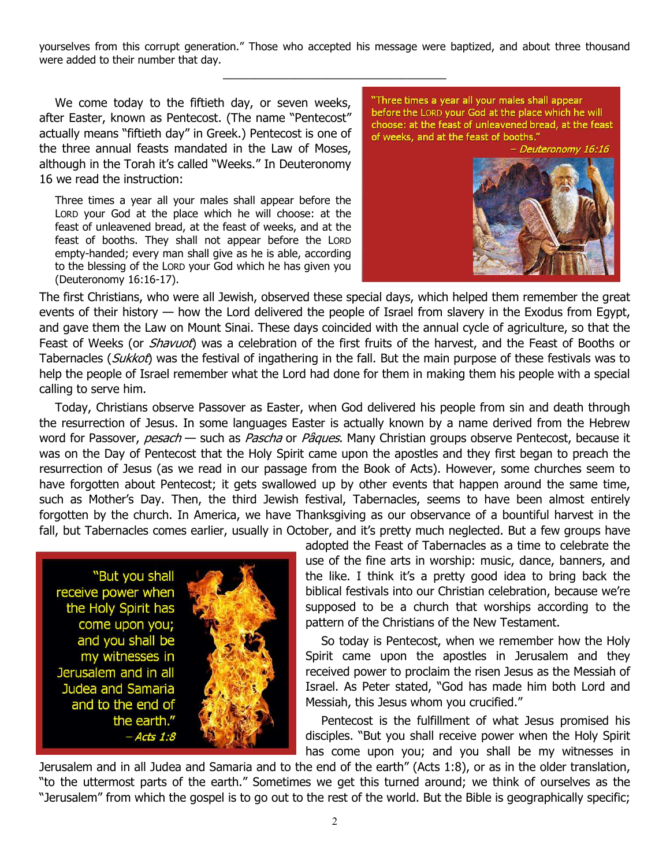yourselves from this corrupt generation." Those who accepted his message were baptized, and about three thousand were added to their number that day. \_\_\_\_\_\_\_\_\_\_\_\_\_\_\_\_\_\_\_\_\_\_\_\_\_\_\_\_\_\_\_\_\_\_

We come today to the fiftieth day, or seven weeks, after Easter, known as Pentecost. (The name "Pentecost" actually means "fiftieth day" in Greek.) Pentecost is one of the three annual feasts mandated in the Law of Moses, although in the Torah it's called "Weeks." In Deuteronomy 16 we read the instruction:

Three times a year all your males shall appear before the LORD your God at the place which he will choose: at the feast of unleavened bread, at the feast of weeks, and at the feast of booths. They shall not appear before the LORD empty-handed; every man shall give as he is able, according to the blessing of the LORD your God which he has given you (Deuteronomy 16:16-17).



The first Christians, who were all Jewish, observed these special days, which helped them remember the great events of their history — how the Lord delivered the people of Israel from slavery in the Exodus from Egypt, and gave them the Law on Mount Sinai. These days coincided with the annual cycle of agriculture, so that the Feast of Weeks (or *Shavuot*) was a celebration of the first fruits of the harvest, and the Feast of Booths or Tabernacles (Sukkot) was the festival of ingathering in the fall. But the main purpose of these festivals was to help the people of Israel remember what the Lord had done for them in making them his people with a special calling to serve him.

Today, Christians observe Passover as Easter, when God delivered his people from sin and death through the resurrection of Jesus. In some languages Easter is actually known by a name derived from the Hebrew word for Passover, pesach — such as Pascha or Pâques. Many Christian groups observe Pentecost, because it was on the Day of Pentecost that the Holy Spirit came upon the apostles and they first began to preach the resurrection of Jesus (as we read in our passage from the Book of Acts). However, some churches seem to have forgotten about Pentecost; it gets swallowed up by other events that happen around the same time, such as Mother's Day. Then, the third Jewish festival, Tabernacles, seems to have been almost entirely forgotten by the church. In America, we have Thanksgiving as our observance of a bountiful harvest in the fall, but Tabernacles comes earlier, usually in October, and it's pretty much neglected. But a few groups have

"But you shall receive power when the Holy Spirit has come upon you; and you shall be my witnesses in Jerusalem and in all **Judea and Samaria** and to the end of the earth." – Acts 1:8



adopted the Feast of Tabernacles as a time to celebrate the use of the fine arts in worship: music, dance, banners, and the like. I think it's a pretty good idea to bring back the biblical festivals into our Christian celebration, because we're supposed to be a church that worships according to the pattern of the Christians of the New Testament.

So today is Pentecost, when we remember how the Holy Spirit came upon the apostles in Jerusalem and they received power to proclaim the risen Jesus as the Messiah of Israel. As Peter stated, "God has made him both Lord and Messiah, this Jesus whom you crucified."

Pentecost is the fulfillment of what Jesus promised his disciples. "But you shall receive power when the Holy Spirit has come upon you; and you shall be my witnesses in

Jerusalem and in all Judea and Samaria and to the end of the earth" (Acts 1:8), or as in the older translation, "to the uttermost parts of the earth." Sometimes we get this turned around; we think of ourselves as the "Jerusalem" from which the gospel is to go out to the rest of the world. But the Bible is geographically specific;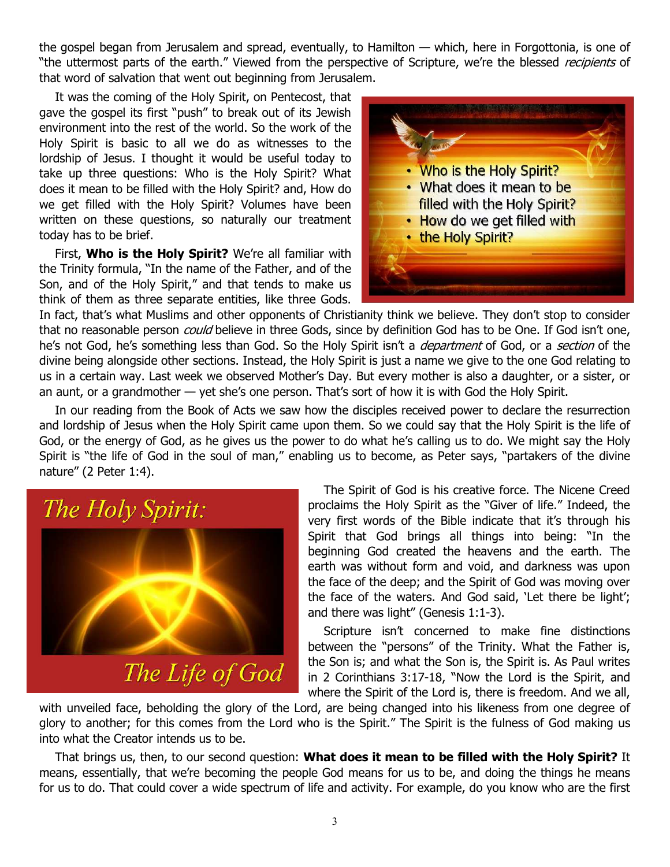the gospel began from Jerusalem and spread, eventually, to Hamilton — which, here in Forgottonia, is one of "the uttermost parts of the earth." Viewed from the perspective of Scripture, we're the blessed *recipients* of that word of salvation that went out beginning from Jerusalem.

It was the coming of the Holy Spirit, on Pentecost, that gave the gospel its first "push" to break out of its Jewish environment into the rest of the world. So the work of the Holy Spirit is basic to all we do as witnesses to the lordship of Jesus. I thought it would be useful today to take up three questions: Who is the Holy Spirit? What does it mean to be filled with the Holy Spirit? and, How do we get filled with the Holy Spirit? Volumes have been written on these questions, so naturally our treatment today has to be brief.

First, **Who is the Holy Spirit?** We're all familiar with the Trinity formula, "In the name of the Father, and of the Son, and of the Holy Spirit," and that tends to make us think of them as three separate entities, like three Gods.



In fact, that's what Muslims and other opponents of Christianity think we believe. They don't stop to consider that no reasonable person *could* believe in three Gods, since by definition God has to be One. If God isn't one, he's not God, he's something less than God. So the Holy Spirit isn't a *department* of God, or a *section* of the divine being alongside other sections. Instead, the Holy Spirit is just a name we give to the one God relating to us in a certain way. Last week we observed Mother's Day. But every mother is also a daughter, or a sister, or an aunt, or a grandmother — yet she's one person. That's sort of how it is with God the Holy Spirit.

In our reading from the Book of Acts we saw how the disciples received power to declare the resurrection and lordship of Jesus when the Holy Spirit came upon them. So we could say that the Holy Spirit is the life of God, or the energy of God, as he gives us the power to do what he's calling us to do. We might say the Holy Spirit is "the life of God in the soul of man," enabling us to become, as Peter says, "partakers of the divine nature" (2 Peter 1:4).



The Spirit of God is his creative force. The Nicene Creed proclaims the Holy Spirit as the "Giver of life." Indeed, the very first words of the Bible indicate that it's through his Spirit that God brings all things into being: "In the beginning God created the heavens and the earth. The earth was without form and void, and darkness was upon the face of the deep; and the Spirit of God was moving over the face of the waters. And God said, 'Let there be light'; and there was light" (Genesis 1:1-3).

Scripture isn't concerned to make fine distinctions between the "persons" of the Trinity. What the Father is, the Son is; and what the Son is, the Spirit is. As Paul writes in 2 Corinthians 3:17-18, "Now the Lord is the Spirit, and where the Spirit of the Lord is, there is freedom. And we all,

with unveiled face, beholding the glory of the Lord, are being changed into his likeness from one degree of glory to another; for this comes from the Lord who is the Spirit." The Spirit is the fulness of God making us into what the Creator intends us to be.

That brings us, then, to our second question: **What does it mean to be filled with the Holy Spirit?** It means, essentially, that we're becoming the people God means for us to be, and doing the things he means for us to do. That could cover a wide spectrum of life and activity. For example, do you know who are the first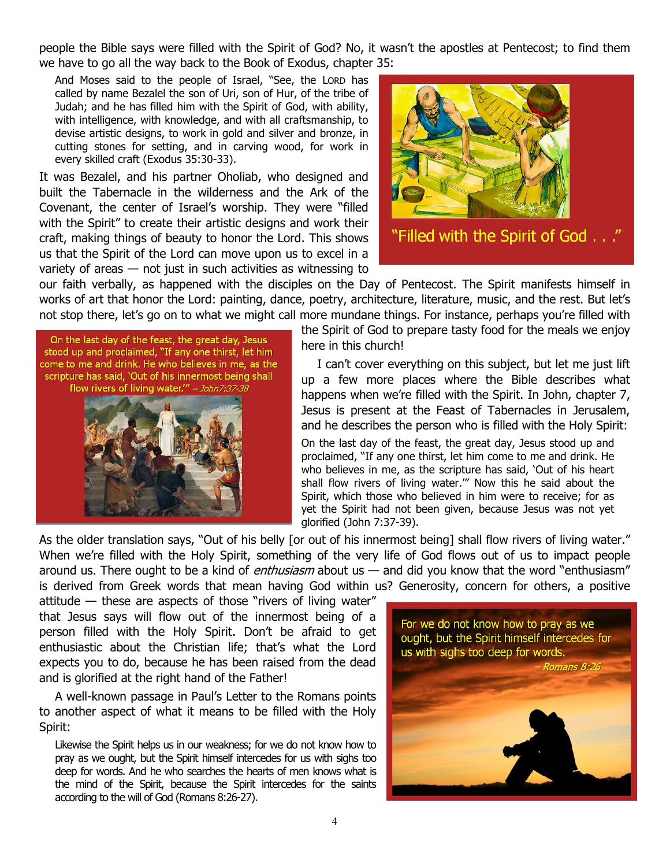people the Bible says were filled with the Spirit of God? No, it wasn't the apostles at Pentecost; to find them we have to go all the way back to the Book of Exodus, chapter 35:

And Moses said to the people of Israel, "See, the LORD has called by name Bezalel the son of Uri, son of Hur, of the tribe of Judah; and he has filled him with the Spirit of God, with ability, with intelligence, with knowledge, and with all craftsmanship, to devise artistic designs, to work in gold and silver and bronze, in cutting stones for setting, and in carving wood, for work in every skilled craft (Exodus 35:30-33).

It was Bezalel, and his partner Oholiab, who designed and built the Tabernacle in the wilderness and the Ark of the Covenant, the center of Israel's worship. They were "filled with the Spirit" to create their artistic designs and work their craft, making things of beauty to honor the Lord. This shows us that the Spirit of the Lord can move upon us to excel in a variety of areas — not just in such activities as witnessing to



our faith verbally, as happened with the disciples on the Day of Pentecost. The Spirit manifests himself in works of art that honor the Lord: painting, dance, poetry, architecture, literature, music, and the rest. But let's not stop there, let's go on to what we might call more mundane things. For instance, perhaps you're filled with



the Spirit of God to prepare tasty food for the meals we enjoy here in this church!

I can't cover everything on this subject, but let me just lift up a few more places where the Bible describes what happens when we're filled with the Spirit. In John, chapter 7, Jesus is present at the Feast of Tabernacles in Jerusalem, and he describes the person who is filled with the Holy Spirit:

On the last day of the feast, the great day, Jesus stood up and proclaimed, "If any one thirst, let him come to me and drink. He who believes in me, as the scripture has said, 'Out of his heart shall flow rivers of living water.'" Now this he said about the Spirit, which those who believed in him were to receive; for as yet the Spirit had not been given, because Jesus was not yet glorified (John 7:37-39).

As the older translation says, "Out of his belly [or out of his innermost being] shall flow rivers of living water." When we're filled with the Holy Spirit, something of the very life of God flows out of us to impact people around us. There ought to be a kind of *enthusiasm* about us  $-$  and did you know that the word "enthusiasm" is derived from Greek words that mean having God within us? Generosity, concern for others, a positive

attitude — these are aspects of those "rivers of living water" that Jesus says will flow out of the innermost being of a person filled with the Holy Spirit. Don't be afraid to get enthusiastic about the Christian life; that's what the Lord expects you to do, because he has been raised from the dead and is glorified at the right hand of the Father!

A well-known passage in Paul's Letter to the Romans points to another aspect of what it means to be filled with the Holy Spirit:

Likewise the Spirit helps us in our weakness; for we do not know how to pray as we ought, but the Spirit himself intercedes for us with sighs too deep for words. And he who searches the hearts of men knows what is the mind of the Spirit, because the Spirit intercedes for the saints according to the will of God (Romans 8:26-27).

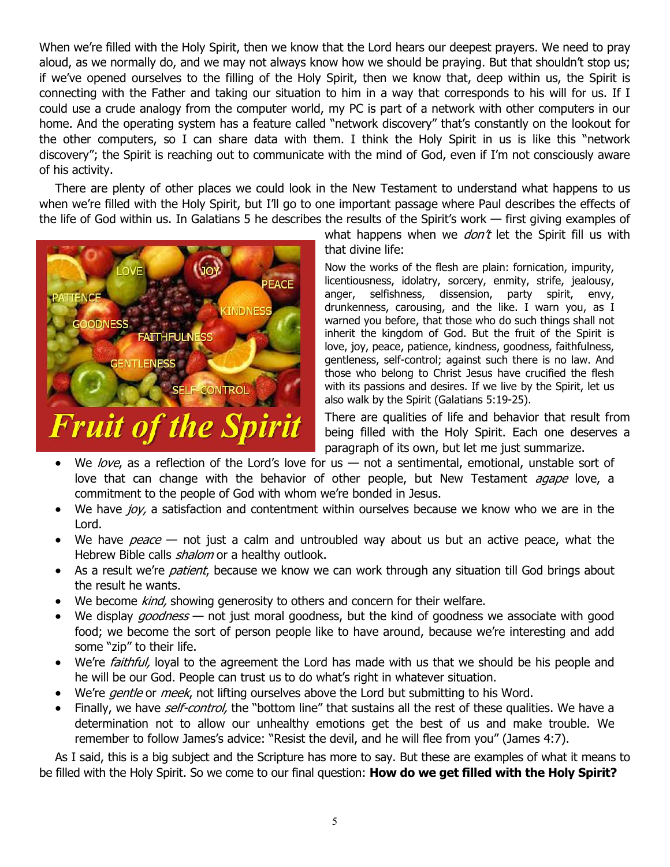When we're filled with the Holy Spirit, then we know that the Lord hears our deepest prayers. We need to pray aloud, as we normally do, and we may not always know how we should be praying. But that shouldn't stop us; if we've opened ourselves to the filling of the Holy Spirit, then we know that, deep within us, the Spirit is connecting with the Father and taking our situation to him in a way that corresponds to his will for us. If I could use a crude analogy from the computer world, my PC is part of a network with other computers in our home. And the operating system has a feature called "network discovery" that's constantly on the lookout for the other computers, so I can share data with them. I think the Holy Spirit in us is like this "network discovery"; the Spirit is reaching out to communicate with the mind of God, even if I'm not consciously aware of his activity.

There are plenty of other places we could look in the New Testament to understand what happens to us when we're filled with the Holy Spirit, but I'll go to one important passage where Paul describes the effects of the life of God within us. In Galatians 5 he describes the results of the Spirit's work — first giving examples of



what happens when we *don't* let the Spirit fill us with that divine life:

Now the works of the flesh are plain: fornication, impurity, licentiousness, idolatry, sorcery, enmity, strife, jealousy, anger, selfishness, dissension, party spirit, envy, drunkenness, carousing, and the like. I warn you, as I warned you before, that those who do such things shall not inherit the kingdom of God. But the fruit of the Spirit is love, joy, peace, patience, kindness, goodness, faithfulness, gentleness, self-control; against such there is no law. And those who belong to Christ Jesus have crucified the flesh with its passions and desires. If we live by the Spirit, let us also walk by the Spirit (Galatians 5:19-25).

There are qualities of life and behavior that result from being filled with the Holy Spirit. Each one deserves a paragraph of its own, but let me just summarize.

- We love, as a reflection of the Lord's love for us  $-$  not a sentimental, emotional, unstable sort of love that can change with the behavior of other people, but New Testament *agape* love, a commitment to the people of God with whom we're bonded in Jesus.
- We have joy, a satisfaction and contentment within ourselves because we know who we are in the Lord.
- We have  $peace$  not just a calm and untroubled way about us but an active peace, what the Hebrew Bible calls *shalom* or a healthy outlook.
- As a result we're *patient*, because we know we can work through any situation till God brings about the result he wants.
- We become *kind*, showing generosity to others and concern for their welfare.
- We display  $qoodness$  not just moral goodness, but the kind of goodness we associate with good food; we become the sort of person people like to have around, because we're interesting and add some "zip" to their life.
- We're *faithful*, loyal to the agreement the Lord has made with us that we should be his people and he will be our God. People can trust us to do what's right in whatever situation.
- We're *gentle* or *meek*, not lifting ourselves above the Lord but submitting to his Word.
- Finally, we have *self-control*, the "bottom line" that sustains all the rest of these qualities. We have a determination not to allow our unhealthy emotions get the best of us and make trouble. We remember to follow James's advice: "Resist the devil, and he will flee from you" (James 4:7).

As I said, this is a big subject and the Scripture has more to say. But these are examples of what it means to be filled with the Holy Spirit. So we come to our final question: **How do we get filled with the Holy Spirit?**